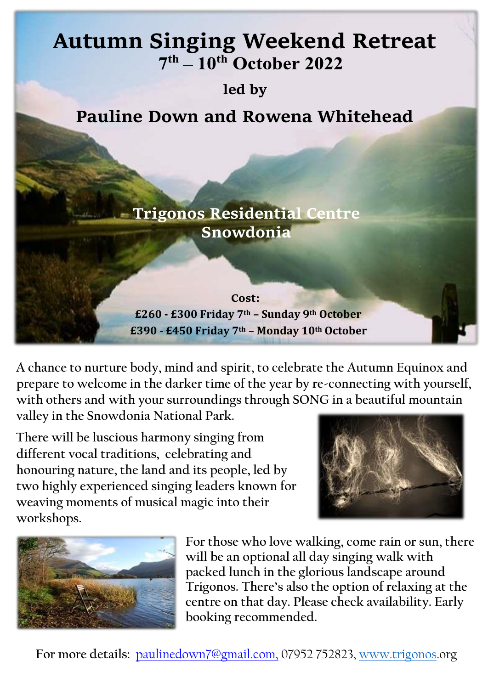## **Autumn Singing Weekend Retreat**

**led by**

**Pauline Down and Rowena Whitehead**

**Trigonos Residential Centre Snowdonia**

## **Cost: £260 - £300 Friday 7th – Sunday 9th October £390 - £450 Friday 7th – Monday 10th October**

**A chance to nurture body, mind and spirit, to celebrate the Autumn Equinox and prepare to welcome in the darker time of the year by re-connecting with yourself, with others and with your surroundings through SONG in a beautiful mountain valley in the Snowdonia National Park.**

**There will be luscious harmony singing from different vocal traditions, celebrating and honouring nature, the land and its people, led by two highly experienced singing leaders known for weaving moments of musical magic into their workshops.**





**For those who love walking, come rain or sun, there will be an optional all day singing walk with packed lunch in the glorious landscape around [Trigonos. There's also the option of relaxing at the](http://www.trigonos.org/) [centre on that day. Please check availability. Early](http://www.trigonos.org/)  booking recommended.** 

**For more details:** paulinedown7@gmail.com, 07952 752823, [www.trigonos.](http://www.trigonos/)org